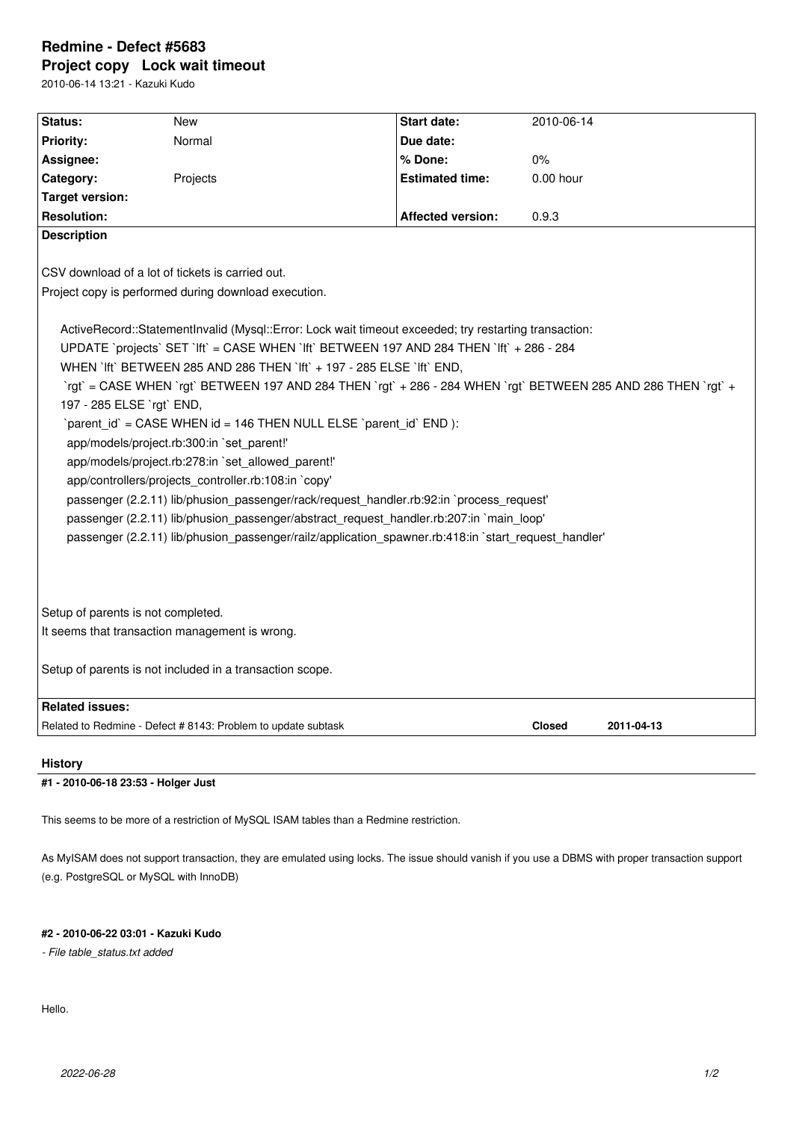# **Redmine - Defect #5683 Project copy Lock wait timeout**

2010-06-14 13:21 - Kazuki Kudo

| Status:                                                                                                        | <b>New</b>                                                    | <b>Start date:</b>       | 2010-06-14    |            |
|----------------------------------------------------------------------------------------------------------------|---------------------------------------------------------------|--------------------------|---------------|------------|
| <b>Priority:</b>                                                                                               | Normal                                                        | Due date:                |               |            |
|                                                                                                                |                                                               |                          |               |            |
| Assignee:                                                                                                      |                                                               | % Done:                  | 0%            |            |
| Category:                                                                                                      | Projects                                                      | <b>Estimated time:</b>   | $0.00$ hour   |            |
| <b>Target version:</b>                                                                                         |                                                               |                          |               |            |
| <b>Resolution:</b>                                                                                             |                                                               | <b>Affected version:</b> | 0.9.3         |            |
| <b>Description</b>                                                                                             |                                                               |                          |               |            |
|                                                                                                                |                                                               |                          |               |            |
| CSV download of a lot of tickets is carried out.                                                               |                                                               |                          |               |            |
| Project copy is performed during download execution.                                                           |                                                               |                          |               |            |
|                                                                                                                |                                                               |                          |               |            |
| ActiveRecord::StatementInvalid (Mysql::Error: Lock wait timeout exceeded; try restarting transaction:          |                                                               |                          |               |            |
| UPDATE `projects` SET `lft` = CASE WHEN `lft` BETWEEN 197 AND 284 THEN `lft` + 286 - 284                       |                                                               |                          |               |            |
| WHEN `Ift` BETWEEN 285 AND 286 THEN `Ift` + 197 - 285 ELSE `Ift` END,                                          |                                                               |                          |               |            |
| `rgt` = CASE WHEN `rgt` BETWEEN 197 AND 284 THEN `rgt` + 286 - 284 WHEN `rgt` BETWEEN 285 AND 286 THEN `rgt` + |                                                               |                          |               |            |
| 197 - 285 ELSE `rgt` END,                                                                                      |                                                               |                          |               |            |
| `parent id` = CASE WHEN id = 146 THEN NULL ELSE `parent id` END ):                                             |                                                               |                          |               |            |
| app/models/project.rb:300:in `set_parent!'                                                                     |                                                               |                          |               |            |
| app/models/project.rb:278:in `set allowed parent!'                                                             |                                                               |                          |               |            |
| app/controllers/projects_controller.rb:108:in `copy'                                                           |                                                               |                          |               |            |
| passenger (2.2.11) lib/phusion passenger/rack/request handler.rb:92:in `process request'                       |                                                               |                          |               |            |
|                                                                                                                |                                                               |                          |               |            |
| passenger (2.2.11) lib/phusion_passenger/abstract_request_handler.rb:207:in `main_loop'                        |                                                               |                          |               |            |
| passenger (2.2.11) lib/phusion passenger/railz/application spawner.rb:418:in `start request handler'           |                                                               |                          |               |            |
|                                                                                                                |                                                               |                          |               |            |
|                                                                                                                |                                                               |                          |               |            |
|                                                                                                                |                                                               |                          |               |            |
| Setup of parents is not completed.                                                                             |                                                               |                          |               |            |
| It seems that transaction management is wrong.                                                                 |                                                               |                          |               |            |
|                                                                                                                |                                                               |                          |               |            |
| Setup of parents is not included in a transaction scope.                                                       |                                                               |                          |               |            |
|                                                                                                                |                                                               |                          |               |            |
| <b>Related issues:</b>                                                                                         |                                                               |                          |               |            |
|                                                                                                                | Related to Redmine - Defect # 8143: Problem to update subtask |                          | <b>Closed</b> | 2011-04-13 |
|                                                                                                                |                                                               |                          |               |            |

#### **History**

#### **#1 - 2010-06-18 23:53 - Holger Just**

This seems to be more of a restriction of MySQL ISAM tables than a Redmine restriction.

As MyISAM does not support transaction, they are emulated using locks. The issue should vanish if you use a DBMS with proper transaction support (e.g. PostgreSQL or MySQL with InnoDB)

### **#2 - 2010-06-22 03:01 - Kazuki Kudo**

*- File table\_status.txt added*

Hello.